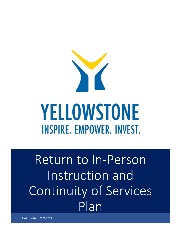

Return to In-Person Instruction and Continuity of Services Plan

Last Updated: 02/4/2022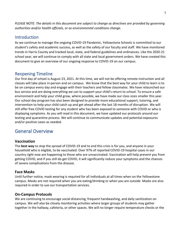*PLEASE NOTE: The details in this document are subject to change as directives are provided by governing authorities and/or health officials, or as environmental conditions change.*

## **Introduction**

As we continue to manage the ongoing COVID-19 Pandemic, Yellowstone Schools is committed to our student's safety and academic success, as well as the safety of our faculty and staff. We have monitored trends in Harris County and tracked local, state, and federal guidelines and ordinances. Like the 2020-21 school year, we will continue to comply with all state and local government orders. We have created this document to give an overview of our ongoing response to COVID-19 on our campus.

## Reopening Timeline

Our first day of school is August 23, 2021. At this time, we will not be offering remote instruction and all classes will take place in-person and on campus. We know that the best way for your child to learn is to be on campus every day and engage with their teachers and fellow classmates. We have relaunched our bus service and are doing everything we can to support your child's return to school. To ensure a safe environment and help your child grow, where possible, we have made our class sizes smaller this year. Our school day program has also been designed to provide more educational support, tutoring, and intervention to help your child catch up and get ahead after the last 18 months of disruption. We will still offer free COVID testing for any student who has been exposed to someone with COVID or who is displaying symptoms. As you will read in this document, we have updated our protocols around our testing and quarantine process. We will continue to communicate updates and potential exposures and/or positive cases as needed.

# General Overview

### **Vaccination**

The **best way** to stop the spread of COVID-19 and to end this crisis is for you, and anyone in your household who is eligible, to be vaccinated. Over 97% of reported COVID-19 hospital cases in our country right now are happening to those who are unvaccinated. Vaccination will help prevent you from getting COVID, and if you still do get COVID, it will significantly reduce your symptoms and the chances of severe complications from the disease.

### **Face Masks**

Until further notice, mask wearing is required for all individuals at all times when on the Yellowstone campus. Masks are not required when you are eating/drinking or when you are outside. Masks are also required in order to use our transportation services.

### **On-Campus Protocols**

We are continuing to encourage social distancing, frequent handwashing, and daily sanitization on campus. We will also be closely monitoring activities where larger groups of students may gather together in the hallway, cafeteria, or other spaces. We will no longer require temperature checks or the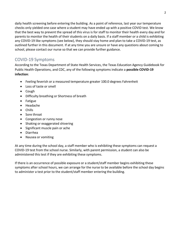daily health screening before entering the building. As a point of reference, last year our temperature checks only yielded one case where a student may have ended up with a positive COVID test. We know that the best way to prevent the spread of this virus is for staff to monitor their health every day and for parents to monitor the health of their students on a daily basis. If a staff member or a child is exhibiting any COVID-19 like symptoms (see below), they should stay home and plan to take a COVID-19 test, as outlined further in this document. If at any time you are unsure or have any questions about coming to school, please contact our nurse so that we can provide further guidance.

## COVID-19 Symptoms

According to the Texas Department of State Health Services, the Texas Education Agency Guidebook for Public Health Operations, and CDC, any of the following symptoms indicate a **possible COVID-19 infection**:

- Feeling feverish or a measured temperature greater 100.0 degrees Fahrenheit
- Loss of taste or smell
- Cough
- Difficulty breathing or Shortness of breath
- Fatigue
- Headache
- Chills
- Sore throat
- Congestion or runny nose
- Shaking or exaggerated shivering
- Significant muscle pain or ache
- Diarrhea
- Nausea or vomiting

At any time during the school day, a staff member who is exhibiting these symptoms can request a COVID-19 test from the school nurse. Similarly, with parent permission, a student can also be administered this test if they are exhibiting these symptoms.

If there is an occurrence of possible exposure or a student/staff member begins exhibiting these symptoms after school hours, we can arrange for the nurse to be available before the school day begins to administer a test prior to the student/staff member entering the building.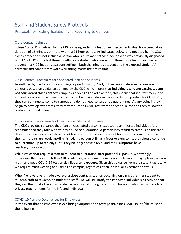# Staff and Student Safety Protocols

### Protocols for Testing, Isolation, and Returning to Campus

#### Close Contact Definition

"Close Contact" is defined by the CDC as being within six feet of an infected individual for a cumulative duration of 15 minutes or more within a 24-hour period. As indicated below, and updated by the CDC, close contact does not include a person who is fully vaccinated; a person who was previously diagnosed with COVID-19 in the last three months; or a student who was within three to six feet of an infected student in a K-12 indoor classroom setting if both the infected student and the exposed student(s) correctly and consistently wore well-fitting masks the entire time.

#### Close Contact Procedures for Vaccinated Staff and Students

As outlined by the Texas Education Agency on August 5, 2021, "close contact determinations are generally based on guidance outlined by the CDC, which notes that **individuals who are vaccinated are not considered close contacts** (emphasis added)." For Yellowstone, this means that if a staff member or student is vaccinated and are in close contact with an individual who has tested positive for COVID-19, they can continue to come to campus and do not need to test or be quarantined. At any point if they begin to develop symptoms, they may request a COVID test from the school nurse and then follow the protocol outlined below.

#### Close Contact Procedures for Unvaccinated Staff and Students

The CDC provides guidance that if an unvaccinated person is exposed to an infected individual, it is recommended they follow a five-day period of quarantine. A person may return to campus on the sixth day if they have been fever-free for 24 hours without the assistance of fever-reducing medication and their symptoms are resolving/diminished. If a person still has a fever or symptoms, they should continue to quarantine up to ten days until they no longer have a fever and their symptoms have resolved/diminished.

While we cannot require a staff or student to quarantine after potential exposure, we strongly encourage the person to follow CDC guidelines, or at a minimum, continue to monitor symptoms, wear a mask, and get a COVID-19 test on day five after exposure. Given this guidance from the state, that is why we require mask wearing at all times on campus, regardless of an individual's vaccination status.

When Yellowstone is made aware of a close contact situation occurring on campus (either student to student, staff to student, or student to staff), we will still notify the impacted individuals directly so that they can then make the appropriate decision for returning to campus. This notification will adhere to all privacy requirements for the infected individual.

#### COVID-19 Positive Occurrences for Employees

In the event that an employee is exhibiting symptoms and tests positive for COVID-19, he/she must do the following: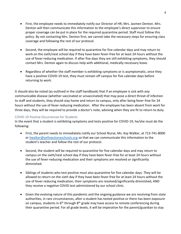- First, the employee needs to immediately notify our Director of HR, Mrs. Jasmen Denton. Mrs. Denton will then communicate this information to the employee's direct supervisor to ensure proper coverage can be put in place for the required quarantine period. Staff must follow this policy. By not contacting Mrs. Denton first, we cannot take the necessary steps for ensuring class coverage and following the rest of our protocol.
- Second, the employee will be required to quarantine for five calendar days and may return to work on the sixth/next school day if they have been fever-free for at least 24 hours without the use of fever-reducing medication. If after five days they are still exhibiting symptoms, they should contact Mrs. Denton again to discuss help with additional, medically necessary leave.
- Regardless of whether the staff member is exhibiting symptoms or is asymptomatic, once they have a positive COVID-19 test, they must remain off campus for five calendar days before returning to work.

It should also be noted (as outlined in the staff handbook) that if an employee is sick with *any* communicable disease (whether vaccinated or unvaccinated) that may pose a direct threat of infection to staff and students, they should stay home and return to campus, only after being fever-free for 24 hours without the use of fever-reducing medication. After the employee has been absent from work for three days, they will be required to provide a doctor's note, advising when they are fit to return to duty.

#### COVID-19 Positive Occurrences for Students

In the event that a student is exhibiting symptoms and tests positive for COVID-19, he/she must do the following:

- First, the parent needs to immediately notify our School Nurse, Ms. Kay Walker, at 713-741-8000 or [kwalker@yellowstoneschools.org](mailto:kwalker@yellowstoneschools.org) so that we can communicate this information to the student's teacher and follow the rest of our protocol.
- Second, the student will be required to quarantine for five calendar days and may return to campus on the sixth/next school day if they have been fever-free for at least 24 hours without the use of fever-reducing medication and their symptoms are resolved or significantly diminished.
- Siblings of students who test positive must also quarantine for five calendar days. They will be allowed to return on the sixth day if they have been fever-free for at least 24 hours without the use of fever-reducing medication, their symptoms are resolved/significantly diminished, AND they receive a negative COVID test administered by our school clinic.
- Given the evolving nature of this pandemic and the ongoing guidance we are receiving from state authorities, in rare circumstances, after a student has tested positive or there has been exposure on campus, students in  $6<sup>th</sup>$  through  $8<sup>th</sup>$  grade may have access to remote conferencing during their quarantine period. For all grade levels, it will be imperative for the parent/guardian to stay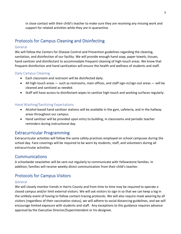in close contact with their child's teacher to make sure they are receiving any missing work and support for related activities while they are in quarantine.

# Protocols for Campus Cleaning and Disinfecting

### General

We will follow the Centers for Disease Control and Prevention guidelines regarding the cleaning, sanitation, and disinfection of our facility. We will provide enough hand soap, paper towels, tissues, hand sanitizer and disinfectant to accommodate frequent cleaning of high-touch areas. We know that frequent disinfection and hand sanitization will ensure the health and wellness of students and staff.

### Daily Campus Cleaning

- Each classroom and restroom will be disinfected daily.
- All high-touch areas such as restrooms, main offices, and staff sign-in/sign-out areas will be cleaned and sanitized as needed.
- Staff will have access to disinfectant wipes to sanitize high-touch and working surfaces regularly.

### Hand Washing/Sanitizing Expectations

- Alcohol-based hand sanitizer stations will be available in the gym, cafeteria, and in the hallway areas throughout our campus.
- Hand sanitizer will be provided upon entry to building, in classrooms and periodic teacher reminders during instructional day.

## Extracurricular Programming

Extracurricular activities will follow the same safety practices employed on school campuses during the school day. Face coverings will be required to be worn by students, staff, and volunteers during all extracurricular activities.

## Communications

A schoolwide newsletter will be sent out regularly to communicate with Yellowstone families. In addition, families will receive weekly direct communication from their child's teacher.

# Protocols for Campus Visitors

#### General

We will closely monitor trends in Harris County and from time to time may be required to operate a closed campus and/or limit external visitors. We will ask visitors to sign in so that we can keep a log in the unlikely event of having to follow contact-tracing protocols. We will also require mask wearing by all visitors (regardless of their vaccination status), we will adhere to social distancing guidelines, and we will encourage limited exposure with students and staff. Any exceptions to this guidance requires advance approval by the Executive Director/Superintendent or his designee.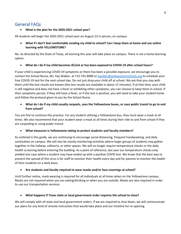## General FAQs

#### • **What is the plan for the 2020-2021 school year?**

All students will begin the 2020-2021 school year on August 23 in person, on campus.

• **What if I don't feel comfortable sending my child to school? Can I keep them at home and use online learning with YELLOWSTONE?**

No. As directed by the State of Texas, all learning this year will take place on campus. There is not a home-learning option.

• **What do I do if my child becomes ill/sick or has been exposed to COVID-19 after school hours?**

If your child is experiencing COVID-19 symptoms or there has been a possible exposure, we encourage you to contact the School Nurse, Ms. Kay Walker, at 713-741-8000 o[r kwalker@yellowstoneschools.org](mailto:kwalker@yellowstoneschools.org) to schedule your free COVID-19 test for the next school day. Do not just drop your child off at school. We ask that you stay with them until the test results are known (the test results are available in about 15 minutes). If at that time, your child is still negative and does not have a fever or exhibiting other symptoms, you can choose to keep them in school. If their symptoms persist, if they still have a fever, or if the test is positive, you will need to take your student home and follow the protocol given to you by the School Nurse.

• **What do I do if my child usually carpools, uses the Yellowstone buses, or uses public transit to go to and from school?**

You are fine to continue this practice. For any student utilizing a Yellowstone bus, they must wear a mask at all times. We also recommend that your student wear a mask at all times during their ride to and from school if they are carpooling or using public transit.

• **What measures is Yellowstone taking to protect students and faculty members?**

As outlined in this guide, we are continuing to encourage social distancing, frequent handwashing, and daily sanitization on campus. We will also be closely monitoring activities where larger groups of students may gather together in the hallway, cafeteria, or other spaces. We will no longer require temperature checks or the daily health screening before entering the building. As a point of reference, last year our temperature checks only yielded one case where a student may have ended up with a positive COVID test. We know that the best way to prevent the spread of this virus is for staff to monitor their health every day and for parents to monitor the health of their students on a daily basis.

#### • **Are students and faculty required to wear masks and/or face coverings at school?**

Until further notice, mask wearing is required for all individuals at all times when on the Yellowstone campus. Masks are not required when you are eating/drinking or when you are outside. Masks are also required in order to use our transportation services.

#### • **What happens if Texas state or local government order requires the school to close?**

We will comply with all state and local government orders. If we are required to shut down, we will communicate our plans for any kind of remote instruction that would take place and our timeline for re-opening.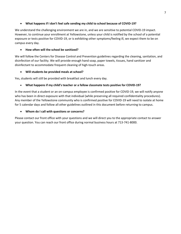#### • **What happens if I don't feel safe sending my child to school because of COVID-19?**

We understand the challenging environment we are in, and we are sensitive to potential COVID-19 impact. However, to continue your enrollment at Yellowstone, unless your child is notified by the school of a potential exposure or tests positive for COVID-19, or is exhibiting other symptoms/feeling ill, we expect them to be on campus every day.

#### • **How often will the school be sanitized?**

We will follow the Centers for Disease Control and Prevention guidelines regarding the cleaning, sanitation, and disinfection of our facility. We will provide enough hand soap, paper towels, tissues, hand sanitizer and disinfectant to accommodate frequent cleaning of high-touch areas.

#### • **Will students be provided meals at school?**

Yes, students will still be provided with breakfast and lunch every day.

#### • **What happens if my child's teacher or a fellow classmate tests positive for COVID-19?**

In the event that a student or an on-campus employee is confirmed positive for COVID-19, we will notify anyone who has been in direct exposure with that individual (while preserving all required confidentiality procedures). Any member of the Yellowstone community who is confirmed positive for COVID-19 will need to isolate at home for 5 calendar days and follow all other guidelines outlined in this document before returning to campus.

#### • **Whom do I call with questions or concerns?**

Please contact our front office with your questions and we will direct you to the appropriate contact to answer your question. You can reach our front office during normal business hours at 713-741-8000.